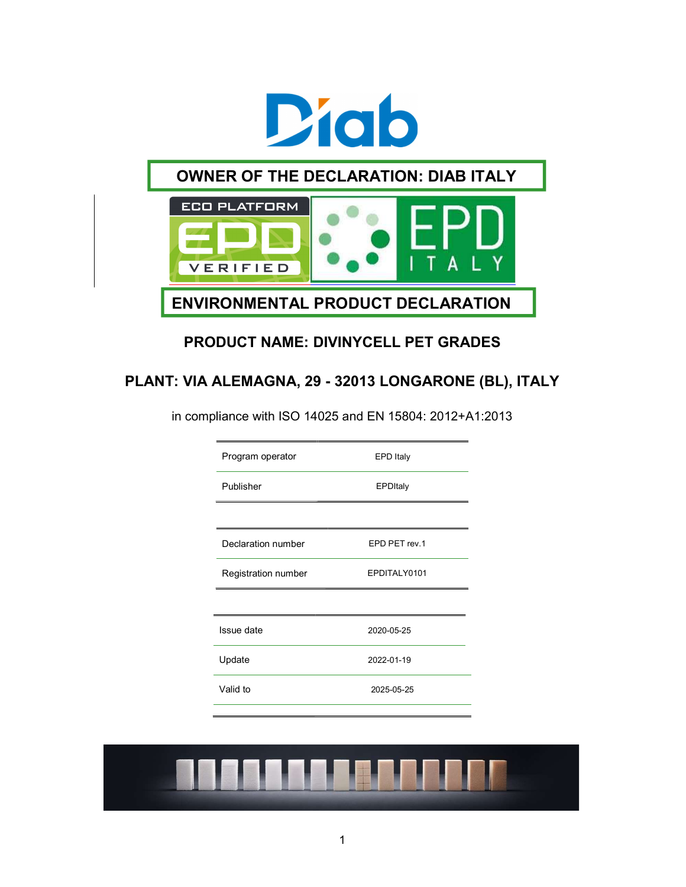

## PRODUCT NAME: DIVINYCELL PET GRADES

## PLANT: VIA ALEMAGNA, 29 - 32013 LONGARONE (BL), ITALY

in compliance with ISO 14025 and EN 15804: 2012+A1:2013

| Program operator    | <b>EPD Italy</b> |
|---------------------|------------------|
| Publisher           | <b>EPDItaly</b>  |
|                     |                  |
| Declaration number  | EPD PET rev.1    |
| Registration number | EPDITALY0101     |
|                     |                  |
| Issue date          | 2020-05-25       |
| Update              | 2022-01-19       |
| Valid to            | 2025-05-25       |

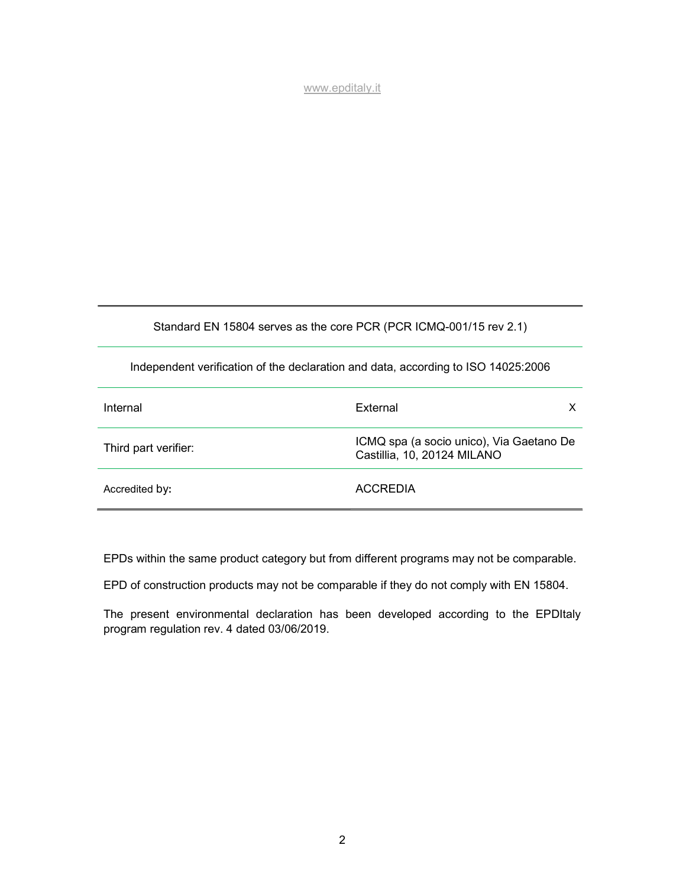### www.epditaly.it

Standard EN 15804 serves as the core PCR (PCR ICMQ-001/15 rev 2.1)

Independent verification of the declaration and data, according to ISO 14025:2006

| Internal             | External                                                                |
|----------------------|-------------------------------------------------------------------------|
| Third part verifier: | ICMQ spa (a socio unico), Via Gaetano De<br>Castillia, 10, 20124 MILANO |
| Accredited by:       | <b>ACCREDIA</b>                                                         |

EPDs within the same product category but from different programs may not be comparable.

EPD of construction products may not be comparable if they do not comply with EN 15804.

The present environmental declaration has been developed according to the EPDItaly program regulation rev. 4 dated 03/06/2019.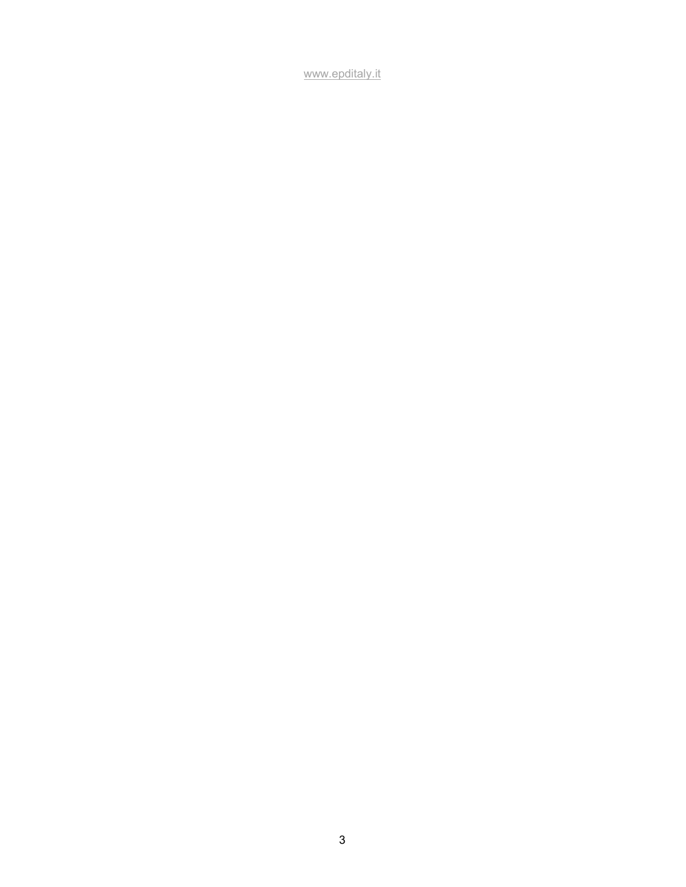www.epditaly.it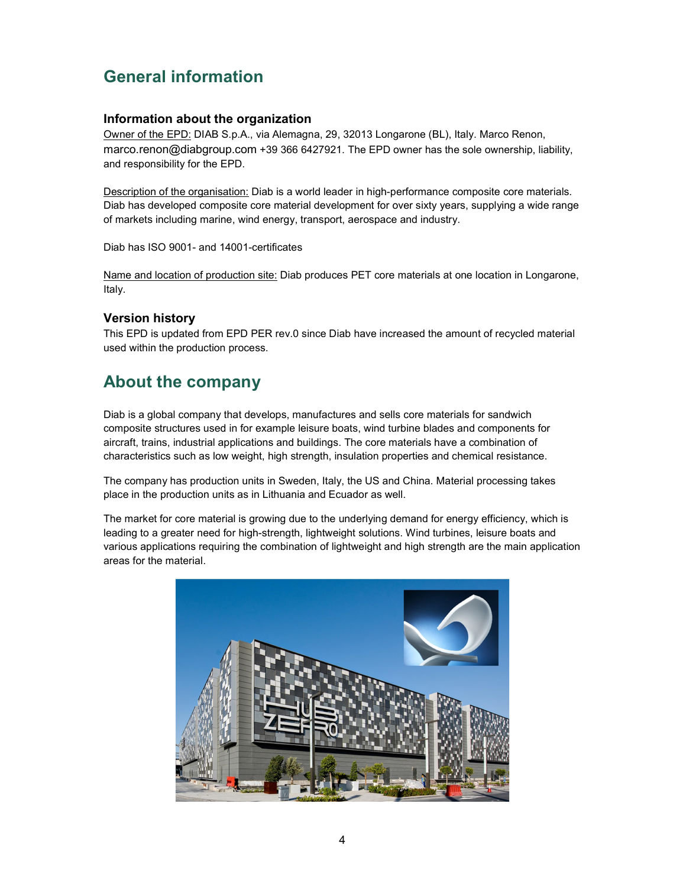# General information

## Information about the organization

Owner of the EPD: DIAB S.p.A., via Alemagna, 29, 32013 Longarone (BL), Italy. Marco Renon, marco.renon@diabgroup.com +39 366 6427921. The EPD owner has the sole ownership, liability, and responsibility for the EPD.

Description of the organisation: Diab is a world leader in high-performance composite core materials. Diab has developed composite core material development for over sixty years, supplying a wide range of markets including marine, wind energy, transport, aerospace and industry.

Diab has ISO 9001- and 14001-certificates

Name and location of production site: Diab produces PET core materials at one location in Longarone, Italy.

## Version history

This EPD is updated from EPD PER rev.0 since Diab have increased the amount of recycled material used within the production process.

## About the company

Diab is a global company that develops, manufactures and sells core materials for sandwich composite structures used in for example leisure boats, wind turbine blades and components for aircraft, trains, industrial applications and buildings. The core materials have a combination of characteristics such as low weight, high strength, insulation properties and chemical resistance.

The company has production units in Sweden, Italy, the US and China. Material processing takes place in the production units as in Lithuania and Ecuador as well.

The market for core material is growing due to the underlying demand for energy efficiency, which is leading to a greater need for high-strength, lightweight solutions. Wind turbines, leisure boats and various applications requiring the combination of lightweight and high strength are the main application areas for the material.

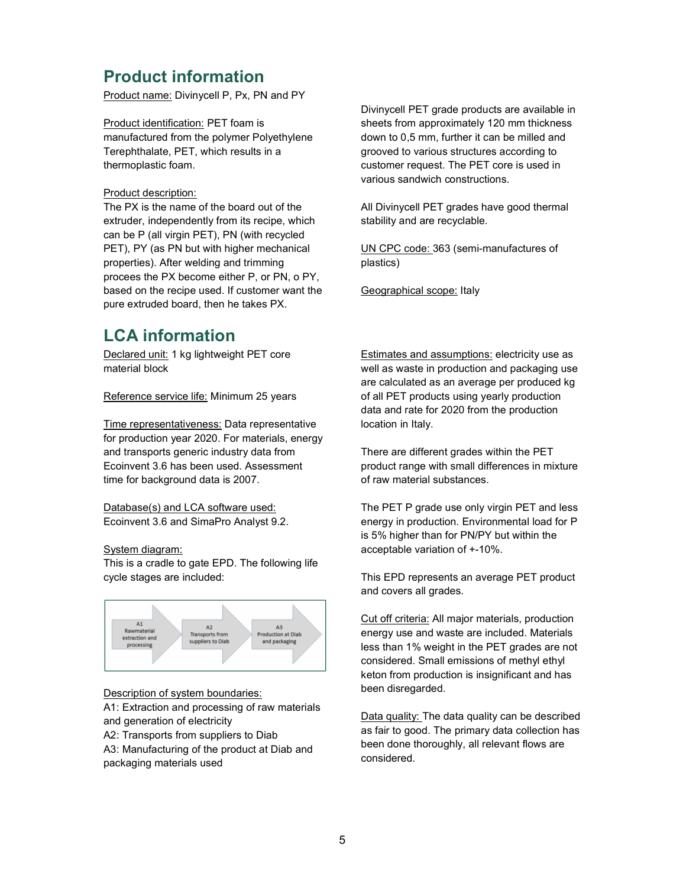# Product information

Product name: Divinycell P, Px, PN and PY

Product identification: PET foam is manufactured from the polymer Polyethylene Terephthalate, PET, which results in a thermoplastic foam.

#### Product description:

The PX is the name of the board out of the extruder, independently from its recipe, which can be P (all virgin PET), PN (with recycled PET), PY (as PN but with higher mechanical properties). After welding and trimming procees the PX become either P, or PN, o PY, based on the recipe used. If customer want the pure extruded board, then he takes PX.

## LCA information

Declared unit: 1 kg lightweight PET core material block

Reference service life: Minimum 25 years

Time representativeness: Data representative for production year 2020. For materials, energy and transports generic industry data from Ecoinvent 3.6 has been used. Assessment time for background data is 2007.

Database(s) and LCA software used: Ecoinvent 3.6 and SimaPro Analyst 9.2.

#### System diagram:

This is a cradle to gate EPD. The following life cycle stages are included:



#### Description of system boundaries:

A1: Extraction and processing of raw materials and generation of electricity

A2: Transports from suppliers to Diab

A3: Manufacturing of the product at Diab and packaging materials used

Divinycell PET grade products are available in sheets from approximately 120 mm thickness down to 0,5 mm, further it can be milled and grooved to various structures according to customer request. The PET core is used in various sandwich constructions.

All Divinycell PET grades have good thermal stability and are recyclable.

UN CPC code: 363 (semi-manufactures of plastics)

Geographical scope: Italy

Estimates and assumptions: electricity use as well as waste in production and packaging use are calculated as an average per produced kg of all PET products using yearly production data and rate for 2020 from the production location in Italy.

There are different grades within the PET product range with small differences in mixture of raw material substances.

The PET P grade use only virgin PET and less energy in production. Environmental load for P is 5% higher than for PN/PY but within the acceptable variation of +-10%.

This EPD represents an average PET product and covers all grades.

Cut off criteria: All major materials, production energy use and waste are included. Materials less than 1% weight in the PET grades are not considered. Small emissions of methyl ethyl keton from production is insignificant and has been disregarded.

Data quality: The data quality can be described as fair to good. The primary data collection has been done thoroughly, all relevant flows are considered.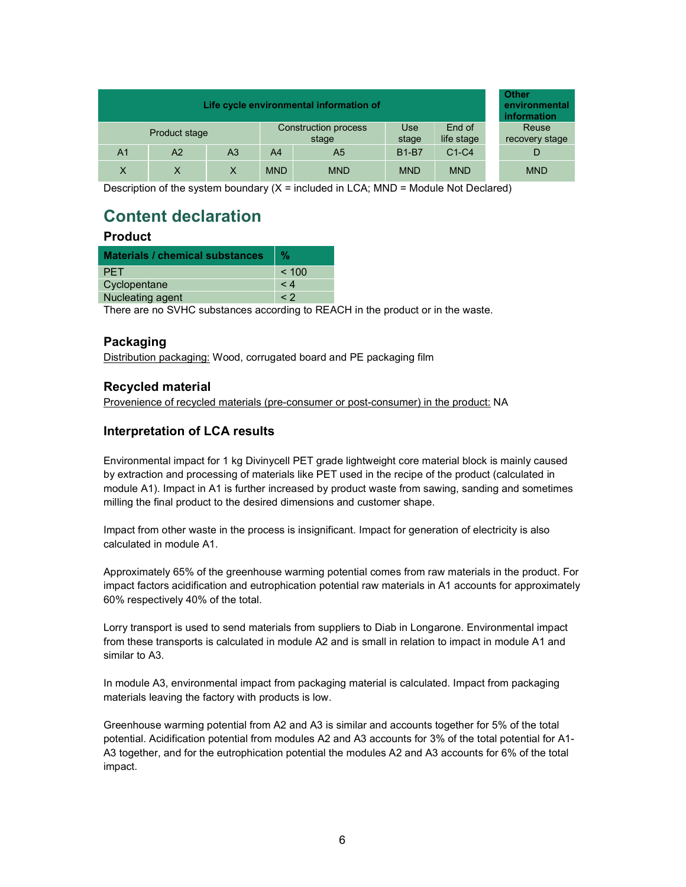| Life cycle environmental information of |                |                |                                      |                |              |                      | <b>Other</b><br>environmental<br>information |
|-----------------------------------------|----------------|----------------|--------------------------------------|----------------|--------------|----------------------|----------------------------------------------|
|                                         | Product stage  |                | <b>Construction process</b><br>stage |                | Use<br>stage | End of<br>life stage | Reuse<br>recovery stage                      |
| A <sub>1</sub>                          | A <sub>2</sub> | A <sub>3</sub> | A4                                   | A <sub>5</sub> | <b>B1-B7</b> | $C1-C4$              |                                              |
| x                                       | X              | X              | <b>MND</b>                           | <b>MND</b>     | <b>MND</b>   | <b>MND</b>           | <b>MND</b>                                   |

Description of the system boundary  $(X = \text{included in LCA: MND} = \text{Module Not Declared})$ 

# Content declaration

## **Product**

| <b>Materials / chemical substances</b> | %       |
|----------------------------------------|---------|
| <b>PET</b>                             | ~100    |
| Cyclopentane                           | $\lt 4$ |
| Nucleating agent                       | < 2     |

There are no SVHC substances according to REACH in the product or in the waste.

## Packaging

Distribution packaging: Wood, corrugated board and PE packaging film

## Recycled material

Provenience of recycled materials (pre-consumer or post-consumer) in the product: NA

## Interpretation of LCA results

Environmental impact for 1 kg Divinycell PET grade lightweight core material block is mainly caused by extraction and processing of materials like PET used in the recipe of the product (calculated in module A1). Impact in A1 is further increased by product waste from sawing, sanding and sometimes milling the final product to the desired dimensions and customer shape.

Impact from other waste in the process is insignificant. Impact for generation of electricity is also calculated in module A1.

Approximately 65% of the greenhouse warming potential comes from raw materials in the product. For impact factors acidification and eutrophication potential raw materials in A1 accounts for approximately 60% respectively 40% of the total.

Lorry transport is used to send materials from suppliers to Diab in Longarone. Environmental impact from these transports is calculated in module A2 and is small in relation to impact in module A1 and similar to A3.

In module A3, environmental impact from packaging material is calculated. Impact from packaging materials leaving the factory with products is low.

Greenhouse warming potential from A2 and A3 is similar and accounts together for 5% of the total potential. Acidification potential from modules A2 and A3 accounts for 3% of the total potential for A1- A3 together, and for the eutrophication potential the modules A2 and A3 accounts for 6% of the total impact.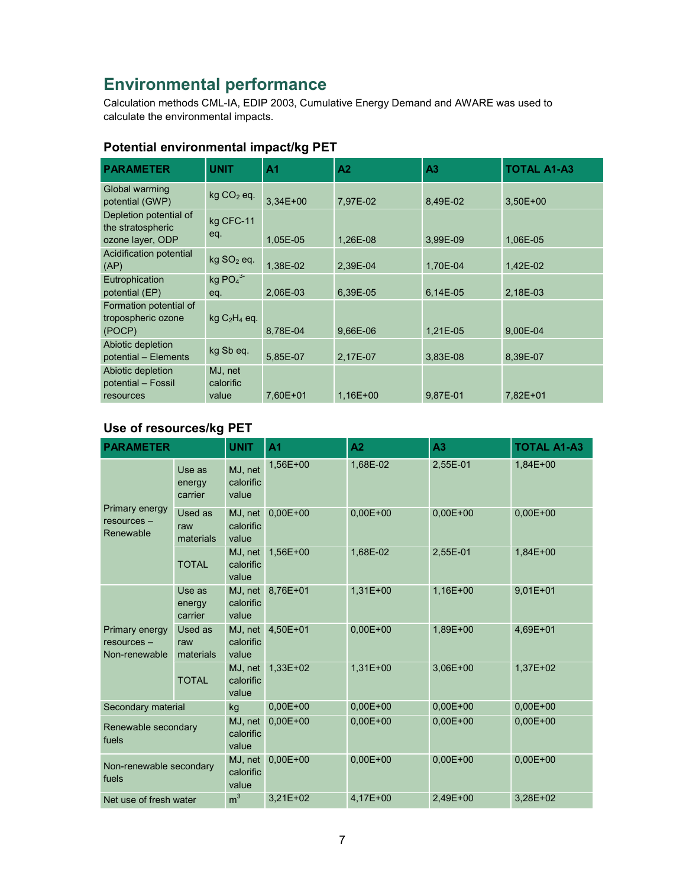# Environmental performance

Calculation methods CML-IA, EDIP 2003, Cumulative Energy Demand and AWARE was used to calculate the environmental impacts.

| <b>PARAMETER</b>                                                | <b>UNIT</b>                   | A <sub>1</sub> | A2         | A <sub>3</sub> | <b>TOTAL A1-A3</b> |
|-----------------------------------------------------------------|-------------------------------|----------------|------------|----------------|--------------------|
| Global warming<br>potential (GWP)                               | kg CO <sub>2</sub> eq.        | $3,34E+00$     | 7,97E-02   | 8,49E-02       | $3,50E+00$         |
| Depletion potential of<br>the stratospheric<br>ozone layer, ODP | kg CFC-11<br>eq.              | 1,05E-05       | 1,26E-08   | 3,99E-09       | 1,06E-05           |
| Acidification potential<br>(AP)                                 | kg SO <sub>2</sub> eq.        | 1,38E-02       | 2,39E-04   | 1,70E-04       | 1,42E-02           |
| Eutrophication<br>potential (EP)                                | kg $PO43$<br>eq.              | 2,06E-03       | 6,39E-05   | 6,14E-05       | 2,18E-03           |
| Formation potential of<br>tropospheric ozone<br>(POCP)          | $kg C2H4$ eq.                 | 8,78E-04       | 9,66E-06   | 1,21E-05       | 9,00E-04           |
| Abiotic depletion<br>potential - Elements                       | kg Sb eq.                     | 5,85E-07       | 2,17E-07   | 3,83E-08       | 8,39E-07           |
| Abiotic depletion<br>potential - Fossil<br>resources            | MJ, net<br>calorific<br>value | 7,60E+01       | $1,16E+00$ | 9,87E-01       | 7,82E+01           |

## Potential environmental impact/kg PET

## Use of resources/kg PET

| <b>PARAMETER</b>                               |                             | <b>UNIT</b>                   | A <sub>1</sub>   | A2           | A <sub>3</sub> | <b>TOTAL A1-A3</b> |
|------------------------------------------------|-----------------------------|-------------------------------|------------------|--------------|----------------|--------------------|
|                                                | Use as<br>energy<br>carrier | MJ, net<br>calorific<br>value | $1,56E+00$       | 1,68E-02     | 2,55E-01       | $1,84E+00$         |
| Primary energy<br>$resources -$<br>Renewable   | Used as<br>raw<br>materials | calorific<br>value            | MJ, net 0,00E+00 | $0,00E+00$   | $0,00E+00$     | $0,00E+00$         |
|                                                | <b>TOTAL</b>                | MJ, net<br>calorific<br>value | $1,56E+00$       | 1,68E-02     | 2,55E-01       | $1,84E+00$         |
|                                                | Use as<br>energy<br>carrier | calorific<br>value            | MJ, net 8,76E+01 | $1,31E+00$   | $1,16E+00$     | $9,01E+01$         |
| Primary energy<br>resources -<br>Non-renewable | Used as<br>raw<br>materials | calorific<br>value            | MJ, net 4,50E+01 | $0,00E+00$   | 1,89E+00       | 4,69E+01           |
|                                                | <b>TOTAL</b>                | MJ, net<br>calorific<br>value | $1,33E+02$       | $1,31E+00$   | $3,06E+00$     | $1,37E+02$         |
| Secondary material                             |                             | kg                            | $0.00E + 00$     | $0.00E + 00$ | $0.00E + 00$   | $0,00E+00$         |
| Renewable secondary<br>fuels                   |                             | MJ, net<br>calorific<br>value | $0.00E + 00$     | $0.00E + 00$ | $0.00E + 00$   | $0.00E + 00$       |
| Non-renewable secondary<br>fuels               |                             | MJ, net<br>calorific<br>value | $0,00E+00$       | $0.00E + 00$ | $0.00E + 00$   | $0.00E + 00$       |
| Net use of fresh water                         |                             | m <sup>3</sup>                | $3,21E+02$       | $4.17E + 00$ | 2,49E+00       | $3,28E+02$         |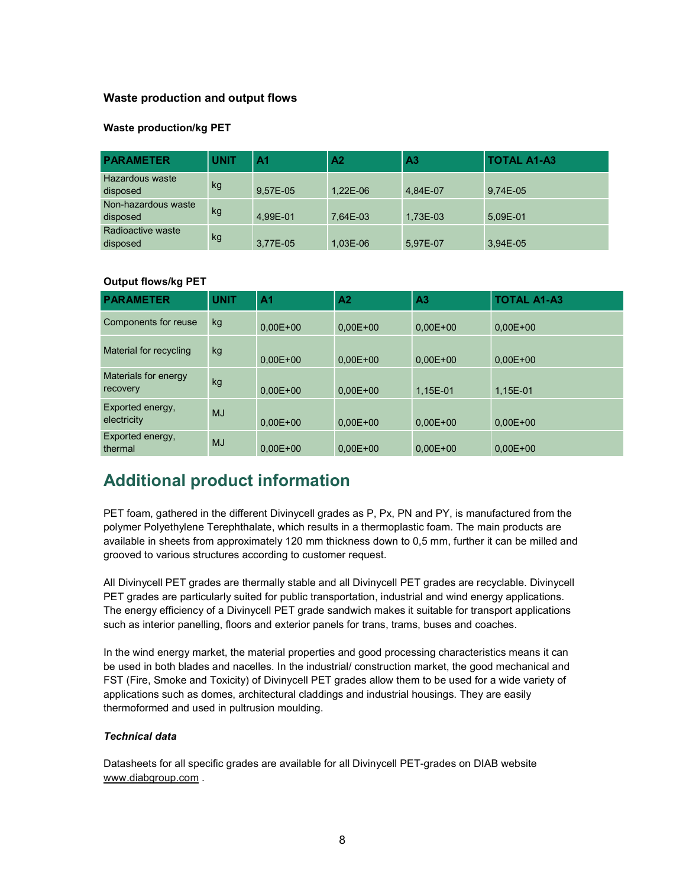## Waste production and output flows

## Waste production/kg PET

| <b>PARAMETER</b>                | <b>UNIT</b> | A <sub>1</sub> | A <sub>2</sub> | A <sub>3</sub> | <b>TOTAL A1-A3</b> |
|---------------------------------|-------------|----------------|----------------|----------------|--------------------|
| Hazardous waste<br>disposed     | kg          | 9.57E-05       | 1,22E-06       | 4.84E-07       | 9.74E-05           |
| Non-hazardous waste<br>disposed | kg          | 4.99E-01       | 7.64E-03       | 1.73E-03       | 5.09E-01           |
| Radioactive waste<br>disposed   | kg          | 3,77E-05       | 1,03E-06       | 5,97E-07       | 3.94E-05           |

#### Output flows/kg PET

| <b>PARAMETER</b>                 | <b>UNIT</b> | A <sub>1</sub> | A2           | A <sub>3</sub> | <b>TOTAL A1-A3</b> |
|----------------------------------|-------------|----------------|--------------|----------------|--------------------|
| Components for reuse             | kg          | $0.00E + 00$   | $0.00E + 00$ | $0.00E + 00$   | $0.00E + 00$       |
| Material for recycling           | kg          | $0.00E + 00$   | $0.00E + 00$ | $0.00E + 00$   | $0.00E + 00$       |
| Materials for energy<br>recovery | kg          | $0.00E + 00$   | $0.00E + 00$ | 1.15E-01       | 1.15E-01           |
| Exported energy,<br>electricity  | <b>MJ</b>   | $0.00E + 00$   | $0.00E + 00$ | $0.00E + 00$   | $0.00E + 00$       |
| Exported energy,<br>thermal      | <b>MJ</b>   | $0.00E + 00$   | $0.00E + 00$ | $0.00E + 00$   | $0.00E + 00$       |

## Additional product information

PET foam, gathered in the different Divinycell grades as P, Px, PN and PY, is manufactured from the polymer Polyethylene Terephthalate, which results in a thermoplastic foam. The main products are available in sheets from approximately 120 mm thickness down to 0,5 mm, further it can be milled and grooved to various structures according to customer request.

All Divinycell PET grades are thermally stable and all Divinycell PET grades are recyclable. Divinycell PET grades are particularly suited for public transportation, industrial and wind energy applications. The energy efficiency of a Divinycell PET grade sandwich makes it suitable for transport applications such as interior panelling, floors and exterior panels for trans, trams, buses and coaches.

In the wind energy market, the material properties and good processing characteristics means it can be used in both blades and nacelles. In the industrial/ construction market, the good mechanical and FST (Fire, Smoke and Toxicity) of Divinycell PET grades allow them to be used for a wide variety of applications such as domes, architectural claddings and industrial housings. They are easily thermoformed and used in pultrusion moulding.

### Technical data

Datasheets for all specific grades are available for all Divinycell PET-grades on DIAB website www.diabgroup.com .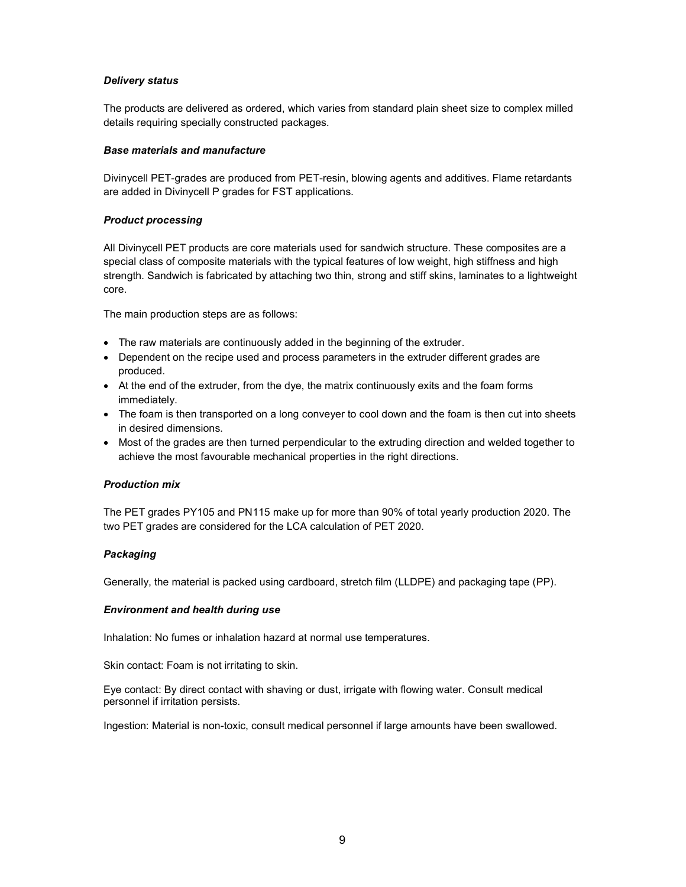### Delivery status

The products are delivered as ordered, which varies from standard plain sheet size to complex milled details requiring specially constructed packages.

#### Base materials and manufacture

Divinycell PET-grades are produced from PET-resin, blowing agents and additives. Flame retardants are added in Divinycell P grades for FST applications.

### Product processing

All Divinycell PET products are core materials used for sandwich structure. These composites are a special class of composite materials with the typical features of low weight, high stiffness and high strength. Sandwich is fabricated by attaching two thin, strong and stiff skins, laminates to a lightweight core.

The main production steps are as follows:

- The raw materials are continuously added in the beginning of the extruder.
- Dependent on the recipe used and process parameters in the extruder different grades are produced.
- At the end of the extruder, from the dye, the matrix continuously exits and the foam forms immediately.
- The foam is then transported on a long conveyer to cool down and the foam is then cut into sheets in desired dimensions.
- Most of the grades are then turned perpendicular to the extruding direction and welded together to achieve the most favourable mechanical properties in the right directions.

#### Production mix

The PET grades PY105 and PN115 make up for more than 90% of total yearly production 2020. The two PET grades are considered for the LCA calculation of PET 2020.

### Packaging

Generally, the material is packed using cardboard, stretch film (LLDPE) and packaging tape (PP).

#### Environment and health during use

Inhalation: No fumes or inhalation hazard at normal use temperatures.

Skin contact: Foam is not irritating to skin.

Eye contact: By direct contact with shaving or dust, irrigate with flowing water. Consult medical personnel if irritation persists.

Ingestion: Material is non-toxic, consult medical personnel if large amounts have been swallowed.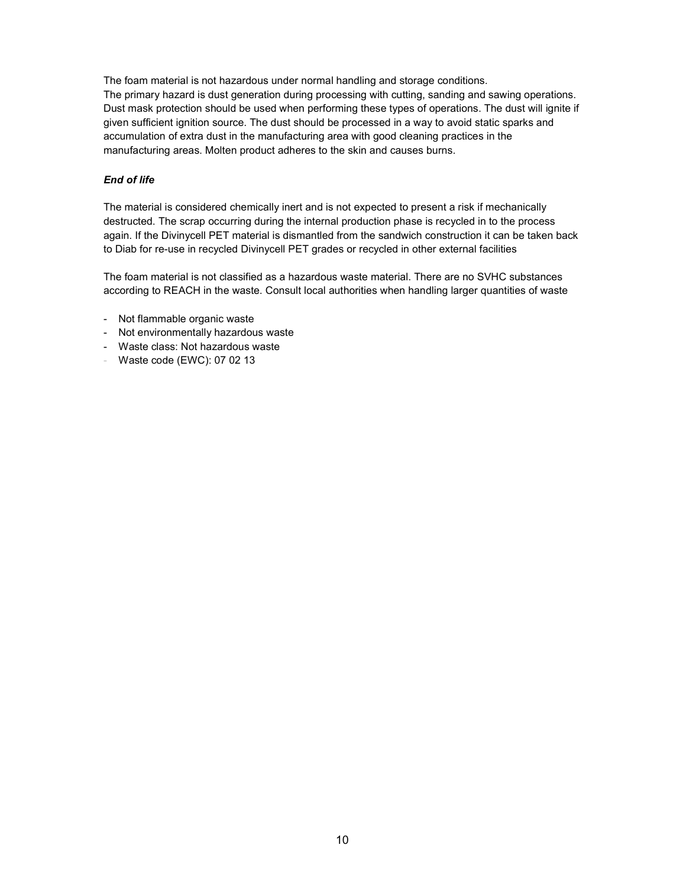The foam material is not hazardous under normal handling and storage conditions. The primary hazard is dust generation during processing with cutting, sanding and sawing operations. Dust mask protection should be used when performing these types of operations. The dust will ignite if given sufficient ignition source. The dust should be processed in a way to avoid static sparks and accumulation of extra dust in the manufacturing area with good cleaning practices in the manufacturing areas. Molten product adheres to the skin and causes burns.

## End of life

The material is considered chemically inert and is not expected to present a risk if mechanically destructed. The scrap occurring during the internal production phase is recycled in to the process again. If the Divinycell PET material is dismantled from the sandwich construction it can be taken back to Diab for re-use in recycled Divinycell PET grades or recycled in other external facilities

The foam material is not classified as a hazardous waste material. There are no SVHC substances according to REACH in the waste. Consult local authorities when handling larger quantities of waste

- Not flammable organic waste
- Not environmentally hazardous waste
- Waste class: Not hazardous waste
- Waste code (EWC): 07 02 13